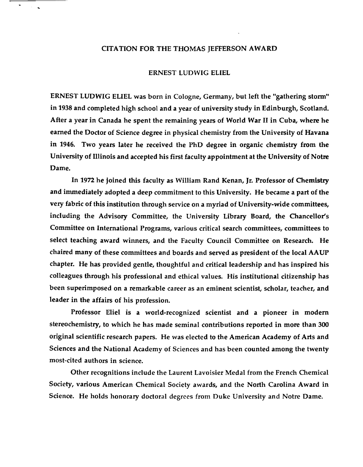## CITATION FOR THE THOMAS JEFFERSON AWARD

## ERNEST LUDWIG ELIEL

ERNEST LUDWIG ELIEL was born in Cologne, Germany, but left the "gathering storm" in 1938 and completed high school and a year of university study in Edinburgh, Scotland. After a year in Canada he spent the remaining years of World War II in Cuba, where he earned the Doctor of Science degree in physical chemistry from the University of Havana in 1946. Two years later he received the PhD degree in organic chemistry from the University of Illinois and accepted his first faculty appointment at the University of Notre Dame.

In 1972 he joined this faculty as William Rand Kenan, Jr. Professor of Chemistry and immediately adopted a deep commitment to this University. He became a part of the very fabric of this institution through service on a myriad of University-wide committees, including the Advisory Committee, the University Library Board, the Chancellor's Committee on International Programs, various critical search committees, committees to select teaching award winners, and the Faculty Council Committee on Research. He chaired many of these committees and boards and served as president of the local AAUP chapter. He has provided gentle, thoughtful and critical leadership and has inspired his colleagues through his professional and ethical values. His institutional citizenship has been superimposed on a remarkable career as an eminent scientist, scholar, teacher, and leader in the affairs of his profession.

Professor Eliel is a world-recognized scientist and a pioneer in modem stereochemistry, to which he has made seminal contributions reported in more than 300 original scientific research papers. He was elected to the American Academy of Arts and Sciences and the National Academy of Sciences and has been counted among the twenty most-cited authors in science.

Other recognitions include the Laurent Lavoisier Medal from the French Chemical Society, various American Chemical Society awards, and the North Carolina Award in Science. He holds honorary doctoral degrees from Duke University and Notre Dame.